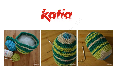